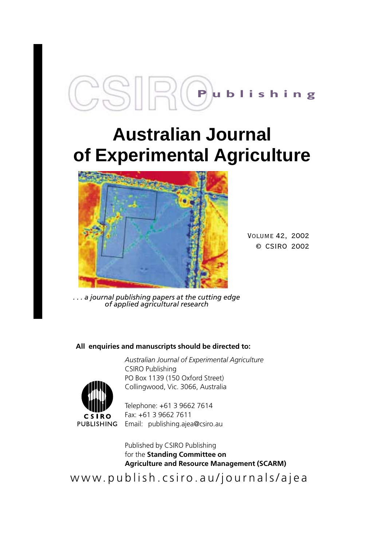# **Publishing**

# **Australian Journal of Experimental Agriculture**



Volume 42, 2002 © CSIRO 2002

*. . . a journal publishing papers at the cutting edge of applied agricultural research*

### **All enquiries and manuscripts should be directed to:**

*Australian Journal of Experimental Agriculture* CSIRO Publishing PO Box 1139 (150 Oxford Street) Collingwood, Vic. 3066, Australia

Telephone: +61 3 9662 7614 Fax: +61 3 9662 7611 **CSIRO PUBLISHING** Email: publishing.ajea@csiro.au

> Published by CSIRO Publishing for the **Standing Committee on Agriculture and Resource Management (SCARM)**

www.publish.csiro.au/journals/ajea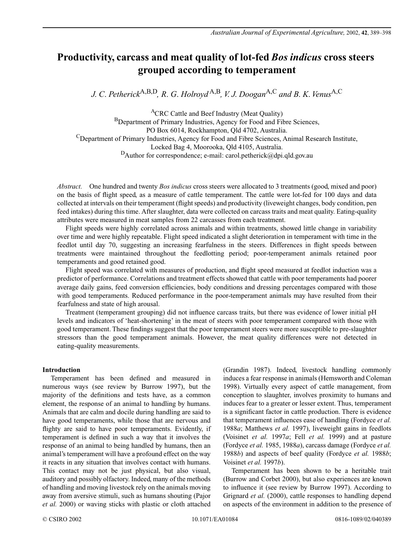## **Productivity, carcass and meat quality of lot-fed** *Bos indicus* **cross steers grouped according to temperament**

*J*. *C*. *Petherick*A,B,D*, R*. *G*. *Holroyd* A,B*, V*. *J*. *Doogan*A,C *and B*. *K*. *Venus*A,C

ACRC Cattle and Beef Industry (Meat Quality) BDepartment of Primary Industries, Agency for Food and Fibre Sciences, PO Box 6014, Rockhampton, Qld 4702, Australia. CDepartment of Primary Industries, Agency for Food and Fibre Sciences, Animal Research Institute, Locked Bag 4, Moorooka, Qld 4105, Australia. DAuthor for correspondence; e-mail: carol.petherick@dpi.qld.gov.au

*Abstract.* One hundred and twenty *Bos indicus* cross steers were allocated to 3 treatments (good, mixed and poor) on the basis of flight speed, as a measure of cattle temperament. The cattle were lot-fed for 100 days and data collected at intervals on their temperament (flight speeds) and productivity (liveweight changes, body condition, pen feed intakes) during this time. After slaughter, data were collected on carcass traits and meat quality. Eating-quality attributes were measured in meat samples from 22 carcasses from each treatment.

Flight speeds were highly correlated across animals and within treatments, showed little change in variability over time and were highly repeatable. Flight speed indicated a slight deterioration in temperament with time in the feedlot until day 70, suggesting an increasing fearfulness in the steers. Differences in flight speeds between treatments were maintained throughout the feedlotting period; poor-temperament animals retained poor temperaments and good retained good.

Flight speed was correlated with measures of production, and flight speed measured at feedlot induction was a predictor of performance. Correlations and treatment effects showed that cattle with poor temperaments had poorer average daily gains, feed conversion efficiencies, body conditions and dressing percentages compared with those with good temperaments. Reduced performance in the poor-temperament animals may have resulted from their fearfulness and state of high arousal.

Treatment (temperament grouping) did not influence carcass traits, but there was evidence of lower initial pH levels and indicators of 'heat-shortening' in the meat of steers with poor temperament compared with those with good temperament. These findings suggest that the poor temperament steers were more susceptible to pre-slaughter stressors than the good temperament animals. However, the meat quality differences were not detected in eating-quality measurements.

#### **Introduction**

Temperament has been defined and measured in numerous ways (see review by Burrow 1997), but the majority of the definitions and tests have, as a common element, the response of an animal to handling by humans. Animals that are calm and docile during handling are said to have good temperaments, while those that are nervous and flighty are said to have poor temperaments. Evidently, if temperament is defined in such a way that it involves the response of an animal to being handled by humans, then an animal's temperament will have a profound effect on the way it reacts in any situation that involves contact with humans. This contact may not be just physical, but also visual, auditory and possibly olfactory. Indeed, many of the methods of handling and moving livestock rely on the animals moving away from aversive stimuli, such as humans shouting (Pajor *et al.* 2000) or waving sticks with plastic or cloth attached

(Grandin 1987). Indeed, livestock handling commonly induces a fear response in animals (Hemsworth and Coleman 1998). Virtually every aspect of cattle management, from conception to slaughter, involves proximity to humans and induces fear to a greater or lesser extent. Thus, temperament is a significant factor in cattle production. There is evidence that temperament influences ease of handling (Fordyce *et al.* 1988*a*; Matthews *et al.* 1997), liveweight gains in feedlots (Voisinet *et al.* 1997*a*; Fell *et al.* 1999) and at pasture (Fordyce *et al.* 1985, 1988*a*), carcass damage (Fordyce *et al.* 1988*b*) and aspects of beef quality (Fordyce *et al.* 1988*b*; Voisinet *et al.* 1997*b*).

Temperament has been shown to be a heritable trait (Burrow and Corbet 2000), but also experiences are known to influence it (see review by Burrow 1997). According to Grignard *et al.* (2000), cattle responses to handling depend on aspects of the environment in addition to the presence of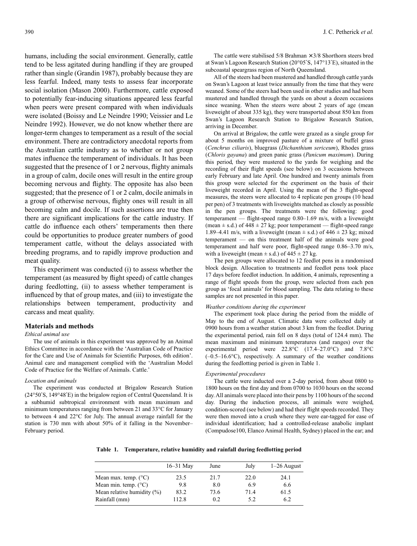humans, including the social environment. Generally, cattle tend to be less agitated during handling if they are grouped rather than single (Grandin 1987), probably because they are less fearful. Indeed, many tests to assess fear incorporate social isolation (Mason 2000). Furthermore, cattle exposed to potentially fear-inducing situations appeared less fearful when peers were present compared with when individuals were isolated (Boissy and Le Neindre 1990; Veissier and Le Neindre 1992). However, we do not know whether there are longer-term changes to temperament as a result of the social environment. There are contradictory anecdotal reports from the Australian cattle industry as to whether or not group mates influence the temperament of individuals. It has been suggested that the presence of 1 or 2 nervous, flighty animals in a group of calm, docile ones will result in the entire group becoming nervous and flighty. The opposite has also been suggested; that the presence of 1 or 2 calm, docile animals in a group of otherwise nervous, flighty ones will result in all becoming calm and docile. If such assertions are true then there are significant implications for the cattle industry. If cattle do influence each others' temperaments then there could be opportunities to produce greater numbers of good temperament cattle, without the delays associated with breeding programs, and to rapidly improve production and meat quality.

This experiment was conducted (i) to assess whether the temperament (as measured by flight speed) of cattle changes during feedlotting, (ii) to assess whether temperament is influenced by that of group mates, and (iii) to investigate the relationships between temperament, productivity and carcass and meat quality.

#### **Materials and methods**

#### *Ethical animal use*

The use of animals in this experiment was approved by an Animal Ethics Committee in accordance with the 'Australian Code of Practice for the Care and Use of Animals for Scientific Purposes, 6th edition'. Animal care and management complied with the 'Australian Model Code of Practice for the Welfare of Animals. Cattle.'

#### *Location and animals*

The experiment was conducted at Brigalow Research Station (24°50′S, 149°48′E) in the brigalow region of Central Queensland. It is a subhumid subtropical environment with mean maximum and minimum temperatures ranging from between 21 and 33°C for January to between 4 and 22°C for July. The annual average rainfall for the station is 730 mm with about 50% of it falling in the November– February period.

The cattle were stabilised  $5/8$  Brahman  $\times$  3/8 Shorthorn steers bred at Swan's Lagoon Research Station (20°05′S, 147°13′E), situated in the subcoastal speargrass region of North Queensland.

All of the steers had been mustered and handled through cattle yards on Swan's Lagoon at least twice annually from the time that they were weaned. Some of the steers had been used in other studies and had been mustered and handled through the yards on about a dozen occasions since weaning. When the steers were about 2 years of age (mean liveweight of about 335 kg), they were transported about 850 km from Swan's Lagoon Research Station to Brigalow Research Station, arriving in December.

On arrival at Brigalow, the cattle were grazed as a single group for about 5 months on improved pasture of a mixture of buffel grass (*Cenchrus ciliaris*), bluegrass (*Dichanthium sericeum*), Rhodes grass (*Chloris gayana*) and green panic grass (*Panicum maximum*). During this period, they were mustered to the yards for weighing and the recording of their flight speeds (see below) on 3 occasions between early February and late April. One hundred and twenty animals from this group were selected for the experiment on the basis of their liveweight recorded in April. Using the mean of the 3 flight-speed measures, the steers were allocated to 4 replicate pen groups (10 head per pen) of 3 treatments with liveweights matched as closely as possible in the pen groups. The treatments were the following: good temperament — flight-speed range 0.80–1.69 m/s, with a liveweight (mean  $\pm$  s.d.) of 448  $\pm$  27 kg; poor temperament — flight-speed range 1.89–4.41 m/s, with a liveweight (mean  $\pm$  s.d.) of 446  $\pm$  23 kg; mixed temperament — on this treatment half of the animals were good temperament and half were poor, flight-speed range 0.86–3.70 m/s, with a liveweight (mean  $\pm$  s.d.) of 445  $\pm$  27 kg.

The pen groups were allocated to 12 feedlot pens in a randomised block design. Allocation to treatments and feedlot pens took place 17 days before feedlot induction. In addition, 4 animals, representing a range of flight speeds from the group, were selected from each pen group as 'focal animals' for blood sampling. The data relating to these samples are not presented in this paper.

#### *Weather conditions during the experiment*

The experiment took place during the period from the middle of May to the end of August. Climatic data were collected daily at 0900 hours from a weather station about 3 km from the feedlot. During the experimental period, rain fell on 8 days (total of 124.4 mm). The mean maximum and minimum temperatures (and ranges) over the experimental period were 22.8°C (17.4–27.0°C) and 7.8°C  $(-0.5-16.6\degree C)$ , respectively. A summary of the weather conditions during the feedlotting period is given in Table 1.

#### *Experimental procedures*

The cattle were inducted over a 2-day period, from about 0800 to 1800 hours on the first day and from 0700 to 1030 hours on the second day. All animals were placed into their pens by 1100 hours of the second day. During the induction process, all animals were weighed, condition-scored (see below) and had their flight speeds recorded. They were then moved into a crush where they were ear-tagged for ease of individual identification; had a controlled-release anabolic implant (Compudose100, Elanco Animal Health, Sydney) placed in the ear; and

**Table 1. Temperature, relative humidity and rainfall during feedlotting period**

|                                | $16-31$ May | June | July | $1-26$ August |
|--------------------------------|-------------|------|------|---------------|
| Mean max. temp. $(^{\circ}C)$  | 23.5        | 21.7 | 22.0 | 24.1          |
| Mean min. temp. $(^{\circ}C)$  | 9.8         | 8.0  | 6.9  | 6.6           |
| Mean relative humidity $(\% )$ | 83.2        | 73.6 | 71.4 | 61.5          |
| Rainfall (mm)                  | 112.8       | 0.2  | 5.2  | 62            |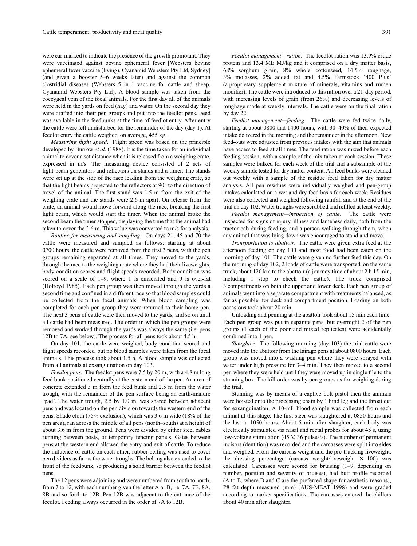were ear-marked to indicate the presence of the growth promotant. They were vaccinated against bovine ephemeral fever [Websters bovine ephemeral fever vaccine (living), Cyanamid Websters Pty Ltd, Sydney] (and given a booster 5–6 weeks later) and against the common clostridial diseases (Websters 5 in 1 vaccine for cattle and sheep, Cyanamid Websters Pty Ltd). A blood sample was taken from the coccygeal vein of the focal animals. For the first day all of the animals were held in the yards on feed (hay) and water. On the second day they were drafted into their pen groups and put into the feedlot pens. Feed was available in the feedbunks at the time of feedlot entry. After entry the cattle were left undisturbed for the remainder of the day (day 1). At feedlot entry the cattle weighed, on average, 455 kg.

*Measuring flight speed*. Flight speed was based on the principle developed by Burrow *et al.* (1988). It is the time taken for an individual animal to cover a set distance when it is released from a weighing crate, expressed in m/s. The measuring device consisted of 2 sets of light-beam generators and reflectors on stands and a timer. The stands were set up at the side of the race leading from the weighing crate, so that the light beams projected to the reflectors at 90° to the direction of travel of the animal. The first stand was 1.5 m from the exit of the weighing crate and the stands were 2.6 m apart. On release from the crate, an animal would move forward along the race, breaking the first light beam, which would start the timer. When the animal broke the second beam the timer stopped, displaying the time that the animal had taken to cover the 2.6 m. This value was converted to m/s for analysis.

*Routine for measuring and sampling*. On days 21, 45 and 70 the cattle were measured and sampled as follows: starting at about 0700 hours, the cattle were removed from the first 3 pens, with the pen groups remaining separated at all times. They moved to the yards, through the race to the weighing crate where they had their liveweights, body-condition scores and flight speeds recorded. Body condition was scored on a scale of 1–9, where 1 is emaciated and 9 is over-fat (Holroyd 1985). Each pen group was then moved through the yards a second time and confined in a different race so that blood samples could be collected from the focal animals. When blood sampling was completed for each pen group they were returned to their home pen. The next 3 pens of cattle were then moved to the yards, and so on until all cattle had been measured. The order in which the pen groups were removed and worked through the yards was always the same (i.e. pens 12B to 7A, see below). The process for all pens took about 4.5 h.

On day 101, the cattle were weighed, body condition scored and flight speeds recorded, but no blood samples were taken from the focal animals. This process took about 1.5 h. A blood sample was collected from all animals at exsanguination on day 103.

*Feedlot pens*. The feedlot pens were 7.5 by 20 m, with a 4.8 m long feed bunk positioned centrally at the eastern end of the pen. An area of concrete extended 3 m from the feed bunk and 2.5 m from the water trough, with the remainder of the pen surface being an earth-manure 'pad'. The water trough, 2.5 by 1.0 m, was shared between adjacent pens and was located on the pen division towards the western end of the pens. Shade cloth (75% exclusion), which was 3.6 m wide (18% of the pen area), ran across the middle of all pens (north–south) at a height of about 3.6 m from the ground. Pens were divided by either steel cables running between posts, or temporary fencing panels. Gates between pens at the western end allowed the entry and exit of cattle. To reduce the influence of cattle on each other, rubber belting was used to cover pen dividers as far as the water troughs. The belting also extended to the front of the feedbunk, so producing a solid barrier between the feedlot pens.

The 12 pens were adjoining and were numbered from south to north, from 7 to 12, with each number given the letter A or B, i.e. 7A, 7B, 8A, 8B and so forth to 12B. Pen 12B was adjacent to the entrance of the feedlot. Feeding always occurred in the order of 7A to 12B.

*Feedlot management—ration*. The feedlot ration was 13.9% crude protein and 13.4 ME MJ/kg and it comprised on a dry matter basis, 68% sorghum grain, 8% whole cottonseed, 14.5% roughage, 3% molasses, 2% added fat and 4.5% Farmstock '400 Plus' (a proprietary supplement mixture of minerals, vitamins and rumen modifier). The cattle were introduced to this ration over a 21-day period, with increasing levels of grain (from 26%) and decreasing levels of roughage made at weekly intervals. The cattle were on the final ration by day 22.

*Feedlot management—feeding*. The cattle were fed twice daily, starting at about 0800 and 1400 hours, with 30–40% of their expected intake delivered in the morning and the remainder in the afternoon. New feed-outs were adjusted from previous intakes with the aim that animals have access to feed at all times. The feed ration was mixed before each feeding session, with a sample of the mix taken at each session. These samples were bulked for each week of the trial and a subsample of the weekly sample tested for dry matter content. All feed bunks were cleaned out weekly with a sample of the residue feed taken for dry matter analysis. All pen residues were individually weighed and pen-group intakes calculated on a wet and dry feed basis for each week. Residues were also collected and weighed following rainfall and at the end of the trial on day 102. Water troughs were scrubbed and refilled at least weekly.

*Feedlot management—inspection of cattle*. The cattle were inspected for signs of injury, illness and lameness daily, both from the tractor-cab during feeding, and a person walking through them, when any animal that was lying down was encouraged to stand and move.

*Transportation to abattoir*. The cattle were given extra feed at the afternoon feeding on day 100 and most food had been eaten on the morning of day 101. The cattle were given no further feed this day. On the morning of day 102, 2 loads of cattle were transported, on the same truck, about 120 km to the abattoir (a journey time of about 2 h 15 min, including 1 stop to check the cattle). The truck comprised 3 compartments on both the upper and lower deck. Each pen group of animals went into a separate compartment with treatments balanced, as far as possible, for deck and compartment position. Loading on both occasions took about 20 min.

Unloading and penning at the abattoir took about 15 min each time. Each pen group was put in separate pens, but overnight 2 of the pen groups (1 each of the poor and mixed replicates) were accidentally combined into 1 pen.

*Slaughter*. The following morning (day 103) the trial cattle were moved into the abattoir from the lairage pens at about 0800 hours. Each group was moved into a washing pen where they were sprayed with water under high pressure for 3–4 min. They then moved to a second pen where they were held until they were moved up in single file to the stunning box. The kill order was by pen groups as for weighing during the trial.

Stunning was by means of a captive bolt pistol then the animals were hoisted onto the processing chain by 1 hind leg and the throat cut for exsanguination. A 10-mL blood sample was collected from each animal at this stage. The first steer was slaughtered at 0850 hours and the last at 1050 hours. About 5 min after slaughter, each body was electrically stimulated via nasal and rectal probes for about 45 s, using low-voltage stimulation (45 V, 36 pulses/s). The number of permanent incisors (dentition) was recorded and the carcasses were split into sides and weighed. From the carcass weight and the pre-trucking liveweight, the dressing percentage (carcass weight/liveweight  $\times$  100) was calculated. Carcasses were scored for bruising (1–9, depending on number, position and severity of bruises), had butt profile recorded (A to E, where B and C are the preferred shape for aesthetic reasons), P8 fat depth measured (mm) (AUS-MEAT 1998) and were graded according to market specifications. The carcasses entered the chillers about 40 min after slaughter.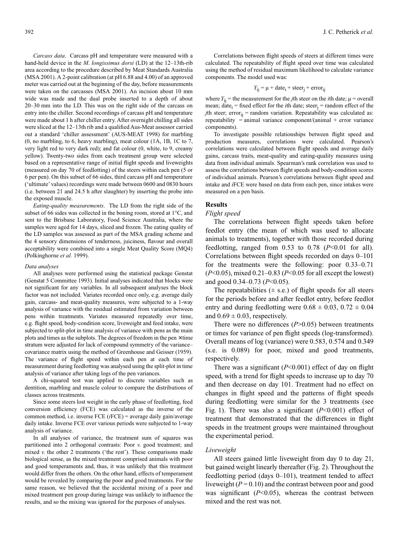*Carcass data*. Carcass pH and temperature were measured with a hand-held device in the *M*. *longissimus dorsi* (LD) at the 12–13th-rib area according to the procedure described by Meat Standards Australia (MSA 2001). A 2-point calibration (at pH 6.88 and 4.00) of an approved meter was carried out at the beginning of the day, before measurements were taken on the carcasses (MSA 2001). An incision about 10 mm wide was made and the dual probe inserted to a depth of about 20–30 mm into the LD. This was on the right side of the carcass on entry into the chiller. Second recordings of carcass pH and temperature were made about 1 h after chiller entry. After overnight chilling all sides were sliced at the 12–13th rib and a qualified Aus-Meat assessor carried out a standard 'chiller assessment' (AUS-MEAT 1998) for marbling (0, no marbling, to 6, heavy marbling), meat colour (1A, 1B, 1C to 7, very light red to very dark red); and fat colour (0, white, to 9, creamy yellow). Twenty-two sides from each treatment group were selected based on a representative range of initial flight speeds and liveweights (measured on day 70 of feedlotting) of the steers within each pen (5 or 6 per pen). On this subset of 66 sides, third carcass pH and temperature ('ultimate' values) recordings were made between 0600 and 0830 hours (i.e. between 21 and 24.5 h after slaughter) by inserting the probe into the exposed muscle.

*Eating*-*quality measurements*. The LD from the right side of the subset of 66 sides was collected in the boning room, stored at 1°C, and sent to the Brisbane Laboratory, Food Science Australia, where the samples were aged for 14 days, sliced and frozen. The eating quality of the LD samples was assessed as part of the MSA grading scheme and the 4 sensory dimensions of tenderness, juiciness, flavour and overall acceptability were combined into a single Meat Quality Score (MQ4) (Polkinghorne *et al.* 1999).

#### *Data analyses*

All analyses were performed using the statistical package Genstat (Genstat 5 Committee 1993). Initial analyses indicated that blocks were not significant for any variables. In all subsequent analyses the block factor was not included. Variates recorded once only, e.g. average daily gain, carcass- and meat-quality measures, were subjected to a 1-way analysis of variance with the residual estimated from variation between pens within treatments. Variates measured repeatedly over time, e.g. flight speed, body-condition score, liveweight and feed intake, were subjected to split-plot in time analysis of variance with pens as the main plots and times as the subplots. The degrees of freedom in the pen $\times$  time stratum were adjusted for lack of compound symmetry of the variance– covariance matrix using the method of Greenhouse and Geisser (1959). The variance of flight speed within each pen at each time of measurement during feedlotting was analysed using the split-plot in time analysis of variance after taking logs of the pen variances.

A chi-squared test was applied to discrete variables such as dentition, marbling and muscle colour to compare the distributions of classes across treatments.

Since some steers lost weight in the early phase of feedlotting, feed conversion efficiency (FCE) was calculated as the inverse of the common method, i.e. inverse FCE (*i*FCE) = average daily gain/average daily intake. Inverse FCE over various periods were subjected to 1-way analysis of variance.

In all analyses of variance, the treatment sum of squares was partitioned into 2 orthogonal contrasts: Poor *v*. good treatment; and mixed *v*. the other 2 treatments ('the rest'). These comparisons made biological sense, as the mixed treatment comprised animals with poor and good temperaments and, thus, it was unlikely that this treatment would differ from the others. On the other hand, effects of temperament would be revealed by comparing the poor and good treatments. For the same reason, we believed that the accidental mixing of a poor and mixed treatment pen group during lairage was unlikely to influence the results, and so the mixing was ignored for the purposes of analyses.

Correlations between flight speeds of steers at different times were calculated. The repeatability of flight speed over time was calculated using the method of residual maximum likelihood to calculate variance components. The model used was:

$$
Y_{ij} = \mu + date_i + steer_j + error_{ij}
$$

where  $Y_{ii}$  = the measurement for the *j*th steer on the *i*th date;  $\mu$  = overall mean; date<sub>i</sub> = fixed effect for the *i*th date; steer<sub>j</sub> = random effect of the *j*th steer; error $_{ij}$  = random variation. Repeatability was calculated as: repeatability = animal variance component/(animal + error variance components).

To investigate possible relationships between flight speed and production measures, correlations were calculated. Pearson's correlations were calculated between flight speeds and average daily gains, carcass traits, meat-quality and eating-quality measures using data from individual animals. Spearman's rank correlation was used to assess the correlations between flight speeds and body-condition scores of individual animals. Pearson's correlations between flight speed and intake and *i*FCE were based on data from each pen, since intakes were measured on a pen basis.

#### **Results**

#### *Flight speed*

The correlations between flight speeds taken before feedlot entry (the mean of which was used to allocate animals to treatments), together with those recorded during feedlotting, ranged from 0.53 to 0.78 (*P*<0.01 for all). Correlations between flight speeds recorded on days 0–101 for the treatments were the following: poor 0.33–0.71 (*P*<0.05), mixed 0.21–0.83 (*P*<0.05 for all except the lowest) and good 0.34–0.73 (*P*<0.05).

The repeatabilities  $(\pm s.e.)$  of flight speeds for all steers for the periods before and after feedlot entry, before feedlot entry and during feedlotting were  $0.68 \pm 0.03$ ,  $0.72 \pm 0.04$ and  $0.69 \pm 0.03$ , respectively.

There were no differences (*P*>0.05) between treatments or times for variance of pen flight speeds (log-transformed). Overall means of log (variance) were 0.583, 0.574 and 0.349 (s.e. is 0.089) for poor, mixed and good treatments, respectively.

There was a significant  $(P<0.001)$  effect of day on flight speed, with a trend for flight speeds to increase up to day 70 and then decrease on day 101. Treatment had no effect on changes in flight speed and the patterns of flight speeds during feedlotting were similar for the 3 treatments (see Fig. 1). There was also a significant (*P*<0.001) effect of treatment that demonstrated that the differences in flight speeds in the treatment groups were maintained throughout the experimental period.

#### *Liveweight*

All steers gained little liveweight from day 0 to day 21, but gained weight linearly thereafter (Fig. 2). Throughout the feedlotting period (days 0–101), treatment tended to affect liveweight  $(P = 0.10)$  and the contrast between poor and good was significant  $(P<0.05)$ , whereas the contrast between mixed and the rest was not.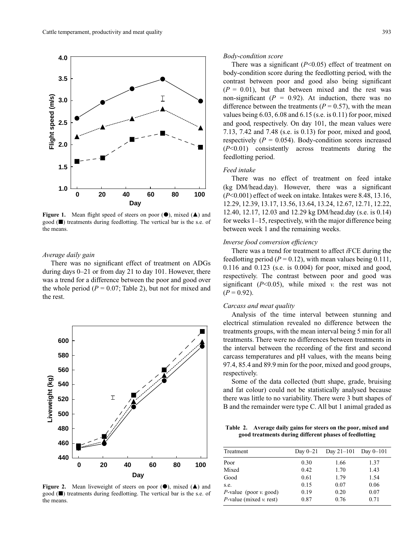

**Figure 1.** Mean flight speed of steers on poor  $(\bullet)$ , mixed  $(\triangle)$  and good  $(\blacksquare)$  treatments during feedlotting. The vertical bar is the s.e. of the means.

#### *Average daily gain*

There was no significant effect of treatment on ADGs during days 0–21 or from day 21 to day 101. However, there was a trend for a difference between the poor and good over the whole period  $(P = 0.07$ ; Table 2), but not for mixed and the rest.



**Figure 2.** Mean liveweight of steers on poor  $(\bullet)$ , mixed  $(\triangle)$  and good  $(\blacksquare)$  treatments during feedlotting. The vertical bar is the s.e. of the means.

#### *Body*-*condition score*

There was a significant (*P*<0.05) effect of treatment on body-condition score during the feedlotting period, with the contrast between poor and good also being significant  $(P = 0.01)$ , but that between mixed and the rest was non-significant  $(P = 0.92)$ . At induction, there was no difference between the treatments ( $P = 0.57$ ), with the mean values being 6.03, 6.08 and 6.15 (s.e. is 0.11) for poor, mixed and good, respectively. On day 101, the mean values were 7.13, 7.42 and 7.48 (s.e. is 0.13) for poor, mixed and good, respectively  $(P = 0.054)$ . Body-condition scores increased (*P*<0.01) consistently across treatments during the feedlotting period.

#### *Feed intake*

There was no effect of treatment on feed intake (kg DM/head.day). However, there was a significant (*P*<0.001) effect of week on intake. Intakes were 8.48, 13.16, 12.29, 12.39, 13.17, 13.56, 13.64, 13.24, 12.67, 12.71, 12.22, 12.40, 12.17, 12.03 and 12.29 kg DM/head.day (s.e. is 0.14) for weeks 1–15, respectively, with the major difference being between week 1 and the remaining weeks.

#### *Inverse food conversion efficiency*

There was a trend for treatment to affect *i*FCE during the feedlotting period ( $P = 0.12$ ), with mean values being 0.111, 0.116 and 0.123 (s.e. is 0.004) for poor, mixed and good, respectively. The contrast between poor and good was significant  $(P<0.05)$ , while mixed *v*. the rest was not  $(P = 0.92)$ .

#### *Carcass and meat quality*

Analysis of the time interval between stunning and electrical stimulation revealed no difference between the treatments groups, with the mean interval being 5 min for all treatments. There were no differences between treatments in the interval between the recording of the first and second carcass temperatures and pH values, with the means being 97.4, 85.4 and 89.9 min for the poor, mixed and good groups, respectively.

Some of the data collected (butt shape, grade, bruising and fat colour) could not be statistically analysed because there was little to no variability. There were 3 butt shapes of B and the remainder were type C. All but 1 animal graded as

**Table 2. Average daily gains for steers on the poor, mixed and good treatments during different phases of feedlotting**

| Treatment                           | Day $0-21$ | Day $21 - 101$ | Day $0-101$ |
|-------------------------------------|------------|----------------|-------------|
| Poor                                | 0.30       | 1.66           | 1.37        |
| Mixed                               | 0.42       | 1.70           | 1.43        |
| Good                                | 0.61       | 1.79           | 1.54        |
| s.e.                                | 0.15       | 0.07           | 0.06        |
| <i>P</i> -value (poor $\nu$ , good) | 0.19       | 0.20           | 0.07        |
| $P$ -value (mixed v. rest)          | 0.87       | 0.76           | 0.71        |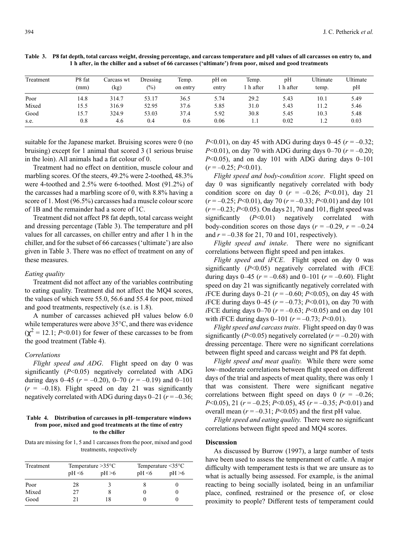| Treatment | P8 fat<br>(mm) | Carcass wt<br>(kg) | Dressing<br>$\frac{10}{6}$ | Temp.<br>on entry | pH on<br>entry | Temp.<br>∣h after | pH<br>1 h after | Ultimate<br>temp. | Ultimate<br>pH |
|-----------|----------------|--------------------|----------------------------|-------------------|----------------|-------------------|-----------------|-------------------|----------------|
| Poor      | 14.8           | 314.7              | 53.17                      | 36.5              | 5.74           | 29.2              | 5.43            | 10.1              | 5.49           |
| Mixed     | 15.5           | 316.9              | 52.95                      | 37.6              | 5.85           | 31.0              | 5.43            | 11.2              | 5.46           |
| Good      | 15.7           | 324.9              | 53.03                      | 37.4              | 5.92           | 30.8              | 5.45            | 10.3              | 5.48           |
| s.e.      | 0.8            | 4.6                | 0.4                        | 0.6               | 0.06           | 1.1               | 0.02            | 1.2               | 0.03           |

**Table 3. P8 fat depth, total carcass weight, dressing percentage, and carcass temperature and pH values of all carcasses on entry to, and 1 h after, in the chiller and a subset of 66 carcasses ('ultimate') from poor, mixed and good treatments**

suitable for the Japanese market. Bruising scores were 0 (no bruising) except for 1 animal that scored 3 (1 serious bruise in the loin). All animals had a fat colour of 0.

Treatment had no effect on dentition, muscle colour and marbling scores. Of the steers, 49.2% were 2-toothed, 48.3% were 4-toothed and 2.5% were 6-toothed. Most (91.2%) of the carcasses had a marbling score of 0, with 8.8% having a score of 1. Most (96.5%) carcasses had a muscle colour score of 1B and the remainder had a score of 1C.

Treatment did not affect P8 fat depth, total carcass weight and dressing percentage (Table 3). The temperature and pH values for all carcasses, on chiller entry and after 1 h in the chiller, and for the subset of 66 carcasses ('ultimate') are also given in Table 3. There was no effect of treatment on any of these measures.

#### *Eating quality*

Treatment did not affect any of the variables contributing to eating quality. Treatment did not affect the MQ4 scores, the values of which were 55.0, 56.6 and 55.4 for poor, mixed and good treatments, respectively (s.e. is 1.8).

A number of carcasses achieved pH values below 6.0 while temperatures were above 35°C, and there was evidence  $(\chi^2 = 12.1; P<0.01)$  for fewer of these carcasses to be from the good treatment (Table 4).

#### *Correlations*

*Flight speed and ADG*. Flight speed on day 0 was significantly (*P*<0.05) negatively correlated with ADG during days  $0-45$  ( $r = -0.20$ ),  $0-70$  ( $r = -0.19$ ) and  $0-101$  $(r = -0.18)$ . Flight speed on day 21 was significantly negatively correlated with ADG during days 0–21 (*r* = –0.36;

#### **Table 4. Distribution of carcasses in pH–temperature windows from poor, mixed and good treatments at the time of entry to the chiller**

Data are missing for 1, 5 and 1 carcasses from the poor, mixed and good treatments, respectively

| Treatment |             | Temperature $>35^{\circ}$ C | Temperature $\leq 35^{\circ}$ C |        |  |
|-----------|-------------|-----------------------------|---------------------------------|--------|--|
|           | $pH \leq 6$ | pH > 6                      | $pH \leq 6$                     | pH > 6 |  |
| Poor      | 28          |                             |                                 |        |  |
| Mixed     | 27          |                             |                                 |        |  |
| Good      |             |                             |                                 |        |  |

*P*<0.01), on day 45 with ADG during days 0–45 (*r* = –0.32; *P*<0.01), on day 70 with ADG during days  $0-70$  ( $r = -0.20$ ;  $P<0.05$ ), and on day 101 with ADG during days  $0-101$  $(r = -0.25; P \le 0.01)$ .

*Flight speed and body*-*condition score*. Flight speed on day 0 was significantly negatively correlated with body condition score on day 0  $(r = -0.26; P<0.01)$ , day 21 (*r* = –0.25; *P*<0.01), day 70 (*r* = –0.33; *P*<0.01) and day 101 (*r* = –0.23; *P*<0.05). On days 21, 70 and 101, flight speed was significantly (*P*<0.01) negatively correlated with body-condition scores on those days  $(r = -0.29, r = -0.24)$ and  $r = -0.38$  for 21, 70 and 101, respectively).

*Flight speed and intake*. There were no significant correlations between flight speed and pen intakes.

*Flight speed and iFCE*. Flight speed on day 0 was significantly (*P*<0.05) negatively correlated with *i*FCE during days  $0-45$  ( $r = -0.68$ ) and  $0-101$  ( $r = -0.60$ ). Flight speed on day 21 was significantly negatively correlated with *i*FCE during days  $0-21$  ( $r = -0.60$ ;  $P < 0.05$ ), on day 45 with *i*FCE during days 0–45 (*r* = –0.73; *P*<0.01), on day 70 with *i*FCE during days 0–70 (*r* = –0.63; *P*<0.05) and on day 101 with *i*FCE during days 0–101 (*r* = –0.73; *P*<0.01).

*Flight speed and carcass traits*. Flight speed on day 0 was significantly ( $P<0.05$ ) negatively correlated ( $r = -0.20$ ) with dressing percentage. There were no significant correlations between flight speed and carcass weight and P8 fat depth.

*Flight speed and meat quality*. While there were some low–moderate correlations between flight speed on different days of the trial and aspects of meat quality, there was only 1 that was consistent. There were significant negative correlations between flight speed on days  $0 (r = -0.26;$ *P*<0.05), 21 (*r* = –0.25; *P*<0.05), 45 (*r* = –0.35; *P*<0.01) and overall mean  $(r = -0.31; P < 0.05)$  and the first pH value.

*Flight speed and eating quality*. There were no significant correlations between flight speed and MQ4 scores.

#### **Discussion**

As discussed by Burrow (1997), a large number of tests have been used to assess the temperament of cattle. A major difficulty with temperament tests is that we are unsure as to what is actually being assessed. For example, is the animal reacting to being socially isolated, being in an unfamiliar place, confined, restrained or the presence of, or close proximity to people? Different tests of temperament could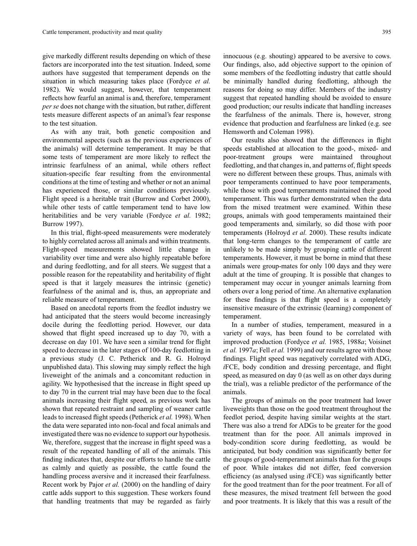give markedly different results depending on which of these factors are incorporated into the test situation. Indeed, some authors have suggested that temperament depends on the situation in which measuring takes place (Fordyce *et al.* 1982). We would suggest, however, that temperament reflects how fearful an animal is and, therefore, temperament *per se* does not change with the situation, but rather, different tests measure different aspects of an animal's fear response to the test situation.

As with any trait, both genetic composition and environmental aspects (such as the previous experiences of the animals) will determine temperament. It may be that some tests of temperament are more likely to reflect the intrinsic fearfulness of an animal, while others reflect situation-specific fear resulting from the environmental conditions at the time of testing and whether or not an animal has experienced those, or similar conditions previously. Flight speed is a heritable trait (Burrow and Corbet 2000), while other tests of cattle temperament tend to have low heritabilities and be very variable (Fordyce *et al.* 1982; Burrow 1997).

In this trial, flight-speed measurements were moderately to highly correlated across all animals and within treatments. Flight-speed measurements showed little change in variability over time and were also highly repeatable before and during feedlotting, and for all steers. We suggest that a possible reason for the repeatability and heritability of flight speed is that it largely measures the intrinsic (genetic) fearfulness of the animal and is, thus, an appropriate and reliable measure of temperament.

Based on anecdotal reports from the feedlot industry we had anticipated that the steers would become increasingly docile during the feedlotting period. However, our data showed that flight speed increased up to day 70, with a decrease on day 101. We have seen a similar trend for flight speed to decrease in the later stages of 100-day feedlotting in a previous study (J. C. Petherick and R. G. Holroyd unpublished data). This slowing may simply reflect the high liveweight of the animals and a concomitant reduction in agility. We hypothesised that the increase in flight speed up to day 70 in the current trial may have been due to the focal animals increasing their flight speed, as previous work has shown that repeated restraint and sampling of weaner cattle leads to increased flight speeds (Petherick *et al.* 1998). When the data were separated into non-focal and focal animals and investigated there was no evidence to support our hypothesis. We, therefore, suggest that the increase in flight speed was a result of the repeated handling of all of the animals. This finding indicates that, despite our efforts to handle the cattle as calmly and quietly as possible, the cattle found the handling process aversive and it increased their fearfulness. Recent work by Pajor *et al.* (2000) on the handling of dairy cattle adds support to this suggestion. These workers found that handling treatments that may be regarded as fairly

innocuous (e.g. shouting) appeared to be aversive to cows. Our findings, also, add objective support to the opinion of some members of the feedlotting industry that cattle should be minimally handled during feedlotting, although the reasons for doing so may differ. Members of the industry suggest that repeated handling should be avoided to ensure good production; our results indicate that handling increases the fearfulness of the animals. There is, however, strong evidence that production and fearfulness are linked (e.g. see Hemsworth and Coleman 1998).

Our results also showed that the differences in flight speeds established at allocation to the good-, mixed- and poor-treatment groups were maintained throughout feedlotting, and that changes in, and patterns of, flight speeds were no different between these groups. Thus, animals with poor temperaments continued to have poor temperaments, while those with good temperaments maintained their good temperament. This was further demonstrated when the data from the mixed treatment were examined. Within these groups, animals with good temperaments maintained their good temperaments and, similarly, so did those with poor temperaments (Holroyd *et al.* 2000). These results indicate that long-term changes to the temperament of cattle are unlikely to be made simply by grouping cattle of different temperaments. However, it must be borne in mind that these animals were group-mates for only 100 days and they were adult at the time of grouping. It is possible that changes to temperament may occur in younger animals learning from others over a long period of time. An alternative explanation for these findings is that flight speed is a completely insensitive measure of the extrinsic (learning) component of temperament.

In a number of studies, temperament, measured in a variety of ways, has been found to be correlated with improved production (Fordyce *et al.* 1985, 1988*a*; Voisinet *et al.* 1997*a*; Fell *et al.* 1999) and our results agree with those findings. Flight speed was negatively correlated with ADG, *i*FCE, body condition and dressing percentage, and flight speed, as measured on day 0 (as well as on other days during the trial), was a reliable predictor of the performance of the animals.

The groups of animals on the poor treatment had lower liveweights than those on the good treatment throughout the feedlot period, despite having similar weights at the start. There was also a trend for ADGs to be greater for the good treatment than for the poor. All animals improved in body-condition score during feedlotting, as would be anticipated, but body condition was significantly better for the groups of good-temperament animals than for the groups of poor. While intakes did not differ, feed conversion efficiency (as analysed using *i*FCE) was significantly better for the good treatment than for the poor treatment. For all of these measures, the mixed treatment fell between the good and poor treatments. It is likely that this was a result of the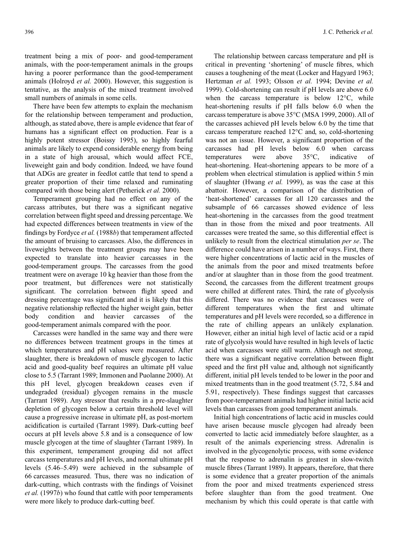treatment being a mix of poor- and good-temperament animals, with the poor-temperament animals in the groups having a poorer performance than the good-temperament animals (Holroyd *et al.* 2000). However, this suggestion is tentative, as the analysis of the mixed treatment involved small numbers of animals in some cells.

There have been few attempts to explain the mechanism for the relationship between temperament and production, although, as stated above, there is ample evidence that fear of humans has a significant effect on production. Fear is a highly potent stressor (Boissy 1995), so highly fearful animals are likely to expend considerable energy from being in a state of high arousal, which would affect FCE, liveweight gain and body condition. Indeed, we have found that ADGs are greater in feedlot cattle that tend to spend a greater proportion of their time relaxed and ruminating compared with those being alert (Petherick *et al.* 2000).

Temperament grouping had no effect on any of the carcass attributes, but there was a significant negative correlation between flight speed and dressing percentage. We had expected differences between treatments in view of the findings by Fordyce *et al.* (1988*b*) that temperament affected the amount of bruising to carcasses. Also, the differences in liveweights between the treatment groups may have been expected to translate into heavier carcasses in the good-temperament groups. The carcasses from the good treatment were on average 10 kg heavier than those from the poor treatment, but differences were not statistically significant. The correlation between flight speed and dressing percentage was significant and it is likely that this negative relationship reflected the higher weight gain, better body condition and heavier carcasses of the good-temperament animals compared with the poor.

Carcasses were handled in the same way and there were no differences between treatment groups in the times at which temperatures and pH values were measured. After slaughter, there is breakdown of muscle glycogen to lactic acid and good-quality beef requires an ultimate pH value close to 5.5 (Tarrant 1989; Immonen and Puolanne 2000). At this pH level, glycogen breakdown ceases even if undegraded (residual) glycogen remains in the muscle (Tarrant 1989). Any stressor that results in a pre-slaughter depletion of glycogen below a certain threshold level will cause a progressive increase in ultimate pH, as post-mortem acidification is curtailed (Tarrant 1989). Dark-cutting beef occurs at pH levels above 5.8 and is a consequence of low muscle glycogen at the time of slaughter (Tarrant 1989). In this experiment, temperament grouping did not affect carcass temperatures and pH levels, and normal ultimate pH levels (5.46–5.49) were achieved in the subsample of 66 carcasses measured. Thus, there was no indication of dark-cutting, which contrasts with the findings of Voisinet *et al.* (1997*b*) who found that cattle with poor temperaments were more likely to produce dark-cutting beef.

The relationship between carcass temperature and pH is critical in preventing 'shortening' of muscle fibres, which causes a toughening of the meat (Locker and Hagyard 1963; Hertzman *et al.* 1993; Olsson *et al.* 1994; Devine *et al.* 1999). Cold-shortening can result if pH levels are above 6.0 when the carcass temperature is below 12°C, while heat-shortening results if pH falls below 6.0 when the carcass temperature is above 35°C (MSA 1999, 2000). All of the carcasses achieved pH levels below 6.0 by the time that carcass temperature reached 12°C and, so, cold-shortening was not an issue. However, a significant proportion of the carcasses had pH levels below 6.0 when carcass temperatures were above 35°C, indicative of heat-shortening. Heat-shortening appears to be more of a problem when electrical stimulation is applied within 5 min of slaughter (Hwang *et al.* 1999), as was the case at this abattoir. However, a comparison of the distribution of 'heat-shortened' carcasses for all 120 carcasses and the subsample of 66 carcasses showed evidence of less heat-shortening in the carcasses from the good treatment than in those from the mixed and poor treatments. All carcasses were treated the same, so this differential effect is unlikely to result from the electrical stimulation *per se*. The difference could have arisen in a number of ways. First, there were higher concentrations of lactic acid in the muscles of the animals from the poor and mixed treatments before and/or at slaughter than in those from the good treatment. Second, the carcasses from the different treatment groups were chilled at different rates. Third, the rate of glycolysis differed. There was no evidence that carcasses were of different temperatures when the first and ultimate temperatures and pH levels were recorded, so a difference in the rate of chilling appears an unlikely explanation. However, either an initial high level of lactic acid or a rapid rate of glycolysis would have resulted in high levels of lactic acid when carcasses were still warm. Although not strong, there was a significant negative correlation between flight speed and the first pH value and, although not significantly different, initial pH levels tended to be lower in the poor and mixed treatments than in the good treatment (5.72, 5.84 and 5.91, respectively). These findings suggest that carcasses from poor-temperament animals had higher initial lactic acid levels than carcasses from good temperament animals.

Initial high concentrations of lactic acid in muscles could have arisen because muscle glycogen had already been converted to lactic acid immediately before slaughter, as a result of the animals experiencing stress. Adrenalin is involved in the glycogenolytic process, with some evidence that the response to adrenalin is greatest in slow-twitch muscle fibres (Tarrant 1989). It appears, therefore, that there is some evidence that a greater proportion of the animals from the poor and mixed treatments experienced stress before slaughter than from the good treatment. One mechanism by which this could operate is that cattle with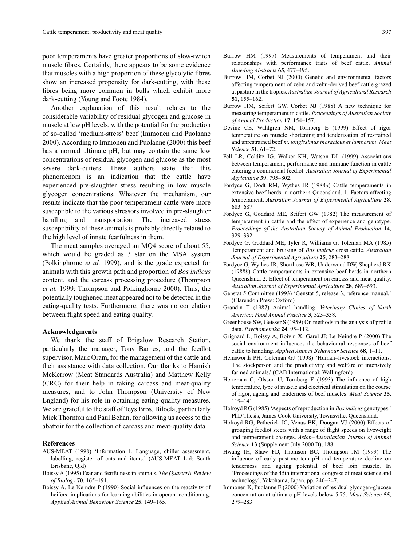poor temperaments have greater proportions of slow-twitch muscle fibres. Certainly, there appears to be some evidence that muscles with a high proportion of these glycolytic fibres show an increased propensity for dark-cutting, with these fibres being more common in bulls which exhibit more dark-cutting (Young and Foote 1984).

Another explanation of this result relates to the considerable variability of residual glycogen and glucose in muscle at low pH levels, with the potential for the production of so-called 'medium-stress' beef (Immonen and Puolanne 2000). According to Immonen and Puolanne (2000) this beef has a normal ultimate pH, but may contain the same low concentrations of residual glycogen and glucose as the most severe dark-cutters. These authors state that this phenomenom is an indication that the cattle have experienced pre-slaughter stress resulting in low muscle glycogen concentrations. Whatever the mechanism, our results indicate that the poor-temperament cattle were more susceptible to the various stressors involved in pre-slaughter handling and transportation. The increased stress susceptibility of these animals is probably directly related to the high level of innate fearfulness in them.

The meat samples averaged an MQ4 score of about 55, which would be graded as 3 star on the MSA system (Polkinghorne *et al.* 1999), and is the grade expected for animals with this growth path and proportion of *Bos indicus* content, and the carcass processing procedure (Thompson *et al.* 1999; Thompson and Polkinghorne 2000). Thus, the potentially toughened meat appeared not to be detected in the eating-quality tests. Furthermore, there was no correlation between flight speed and eating quality.

#### **Acknowledgments**

We thank the staff of Brigalow Research Station, particularly the manager, Tony Barnes, and the feedlot supervisor, Mark Oram, for the management of the cattle and their assistance with data collection. Our thanks to Hamish McKerrow (Meat Standards Australia) and Matthew Kelly (CRC) for their help in taking carcass and meat-quality measures, and to John Thompson (University of New England) for his role in obtaining eating-quality measures. We are grateful to the staff of Teys Bros, Biloela, particularly Mick Thornton and Paul Behan, for allowing us access to the abattoir for the collection of carcass and meat-quality data.

#### **References**

- AUS-MEAT (1998) 'Information 1. Language, chiller assessment, labelling, register of cuts and items.' (AUS-MEAT Ltd: South Brisbane, Qld)
- Boissy A (1995) Fear and fearfulness in animals. *The Quarterly Review of Biology* **70**, 165–191.
- Boissy A, Le Neindre P (1990) Social influences on the reactivity of heifers: implications for learning abilities in operant conditioning. *Applied Animal Behaviour Science* **25**, 149–165.
- Burrow HM (1997) Measurements of temperament and their relationships with performance traits of beef cattle. *Animal Breeding Abstracts* **65**, 477–495.
- Burrow HM, Corbet NJ (2000) Genetic and environmental factors affecting temperament of zebu and zebu-derived beef cattle grazed at pasture in the tropics. *Australian Journal ofAgricultural Research* **51**, 155–162.
- Burrow HM, Seifert GW, Corbet NJ (1988) A new technique for measuring temperament in cattle. *Proceedings of Australian Society of Animal Production* **17**, 154–157.
- Devine CE, Wahlgren NM, Tornberg E (1999) Effect of rigor temperature on muscle shortening and tenderisation of restrained and unrestrained beef *m*. *longissimus thoracicus et lumborum*. *Meat Science* **51**, 61–72.
- Fell LR, Colditz IG, Walker KH, Watson DL (1999) Associations between temperament, performance and immune function in cattle entering a commercial feedlot. *Australian Journal of Experimental Agriculture* **39**, 795–802.
- Fordyce G, Dodt RM, Wythes JR (1988*a*) Cattle temperaments in extensive beef herds in northern Queensland. 1. Factors affecting temperament. *Australian Journal of Experimental Agriculture* **28**, 683–687.
- Fordyce G, Goddard ME, Seifert GW (1982) The measurement of temperament in cattle and the effect of experience and genotype. *Proceedings of the Australian Society of Animal Production* **14**, 329–332.
- Fordyce G, Goddard ME, Tyler R, Williams G, Toleman MA (1985) Temperament and bruising of *Bos indicus* cross cattle. *Australian Journal of Experimental Agriculture* **25**, 283–288.
- Fordyce G, Wythes JR, Shorthose WR, Underwood DW, Shepherd RK (1988*b*) Cattle temperaments in extensive beef herds in northern Queensland. 2. Effect of temperament on carcass and meat quality. *Australian Journal of Experimental Agriculture* **28**, 689–693.
- Genstat 5 Committee (1993) 'Genstat 5, release 3, reference manual.' (Clarendon Press: Oxford)
- Grandin T (1987) Animal handling. *Veterinary Clinics of North America*: *Food Animal Practice* **3**, 323–338.
- Greenhouse SW, Geisser S (1959) On methods in the analysis of profile data. *Psychometrika* **24**, 95–112.
- Grignard L, Boissy A, Boivin X, Garel JP, Le Neindre P (2000) The social environment influences the behavioural responses of beef cattle to handling. *Applied Animal Behaviour Science* **68**, 1–11.
- Hemsworth PH, Coleman GJ (1998) 'Human–livestock interactions. The stockperson and the productivity and welfare of intensively farmed animals.' (CAB International: Wallingford)
- Hertzman C, Olsson U, Tornberg E (1993) The influence of high temperature, type of muscle and electrical stimulation on the course of rigor, ageing and tenderness of beef muscles. *Meat Science* **35**, 119–141.
- Holroyd RG (1985) 'Aspects of reproduction in *Bos indicus* genotypes.' PhD Thesis, James Cook University, Townsville, Queensland.
- Holroyd RG, Petherick JC, Venus BK, Doogan VJ (2000) Effects of grouping feedlot steers with a range of flight speeds on liveweight and temperament changes. *Asian–Australasian Journal of Animal Science* **13** (Supplement July 2000 B), 188.
- Hwang IH, Shaw FD, Thomson BC, Thompson JM (1999) The influence of early post-mortem pH and temperature decline on tenderness and ageing potential of beef loin muscle. In 'Proceedings of the 45th international congress of meat science and technology'. Yokohama, Japan. pp. 246–247.
- Immonen K, Puolanne E (2000) Variation of residual glycogen-glucose concentration at ultimate pH levels below 5.75. *Meat Science* **55**, 279–283.